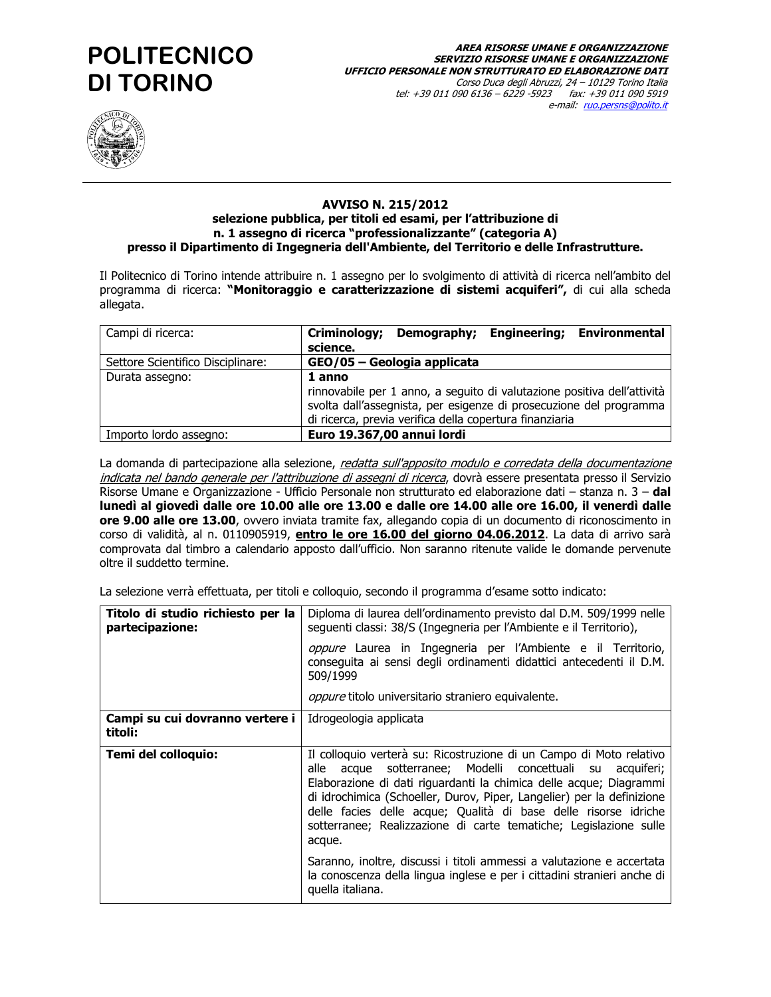# **POLITECNICO DI TORINO**



#### **AVVISO N. 215/2012** selezione pubblica, per titoli ed esami, per l'attribuzione di n. 1 assegno di ricerca "professionalizzante" (categoria A) presso il Dipartimento di Ingegneria dell'Ambiente, del Territorio e delle Infrastrutture.

Il Politecnico di Torino intende attribuire n. 1 assegno per lo svolgimento di attività di ricerca nell'ambito del programma di ricerca: "Monitoraggio e caratterizzazione di sistemi acquiferi", di cui alla scheda allegata.

| Campi di ricerca:                 | <b>Environmental</b><br>Criminology;<br>Demography; Engineering;<br>science.                                                                                                                                       |
|-----------------------------------|--------------------------------------------------------------------------------------------------------------------------------------------------------------------------------------------------------------------|
| Settore Scientifico Disciplinare: | GEO/05 - Geologia applicata                                                                                                                                                                                        |
| Durata assegno:                   | 1 anno<br>rinnovabile per 1 anno, a seguito di valutazione positiva dell'attività<br>svolta dall'assegnista, per esigenze di prosecuzione del programma<br>di ricerca, previa verifica della copertura finanziaria |
| Importo lordo assegno:            | Euro 19.367,00 annui lordi                                                                                                                                                                                         |

La domanda di partecipazione alla selezione, redatta sull'apposito modulo e corredata della documentazione indicata nel bando generale per l'attribuzione di assegni di ricerca, dovrà essere presentata presso il Servizio Risorse Umane e Organizzazione - Ufficio Personale non strutturato ed elaborazione dati - stanza n. 3 - dal lunedì al giovedì dalle ore 10.00 alle ore 13.00 e dalle ore 14.00 alle ore 16.00, il venerdì dalle ore 9.00 alle ore 13.00, ovvero inviata tramite fax, allegando copia di un documento di riconoscimento in corso di validità, al n. 0110905919, *entro le ore 16.00 del giorno 04.06.2012*. La data di arrivo sarà comprovata dal timbro a calendario apposto dall'ufficio. Non saranno ritenute valide le domande pervenute oltre il suddetto termine.

La selezione verrà effettuata, per titoli e colloquio, secondo il programma d'esame sotto indicato:

| Titolo di studio richiesto per la<br>partecipazione:                       | Diploma di laurea dell'ordinamento previsto dal D.M. 509/1999 nelle<br>seguenti classi: 38/S (Ingegneria per l'Ambiente e il Territorio),                                                                                                                                                                                                                                                                                             |
|----------------------------------------------------------------------------|---------------------------------------------------------------------------------------------------------------------------------------------------------------------------------------------------------------------------------------------------------------------------------------------------------------------------------------------------------------------------------------------------------------------------------------|
|                                                                            | oppure Laurea in Ingegneria per l'Ambiente e il Territorio,<br>conseguita ai sensi degli ordinamenti didattici antecedenti il D.M.<br>509/1999                                                                                                                                                                                                                                                                                        |
|                                                                            | <i>oppure</i> titolo universitario straniero equivalente.                                                                                                                                                                                                                                                                                                                                                                             |
| <b>Campi su cui dovranno vertere i   Idrogeologia applicata</b><br>titoli: |                                                                                                                                                                                                                                                                                                                                                                                                                                       |
| Temi del colloquio:                                                        | Il colloquio verterà su: Ricostruzione di un Campo di Moto relativo<br>acque sotterranee; Modelli concettuali su acquiferi;<br>alle<br>Elaborazione di dati riguardanti la chimica delle acque; Diagrammi<br>di idrochimica (Schoeller, Durov, Piper, Langelier) per la definizione<br>delle facies delle acque; Qualità di base delle risorse idriche<br>sotterranee; Realizzazione di carte tematiche; Legislazione sulle<br>acque. |
|                                                                            | Saranno, inoltre, discussi i titoli ammessi a valutazione e accertata<br>la conoscenza della lingua inglese e per i cittadini stranieri anche di<br>quella italiana.                                                                                                                                                                                                                                                                  |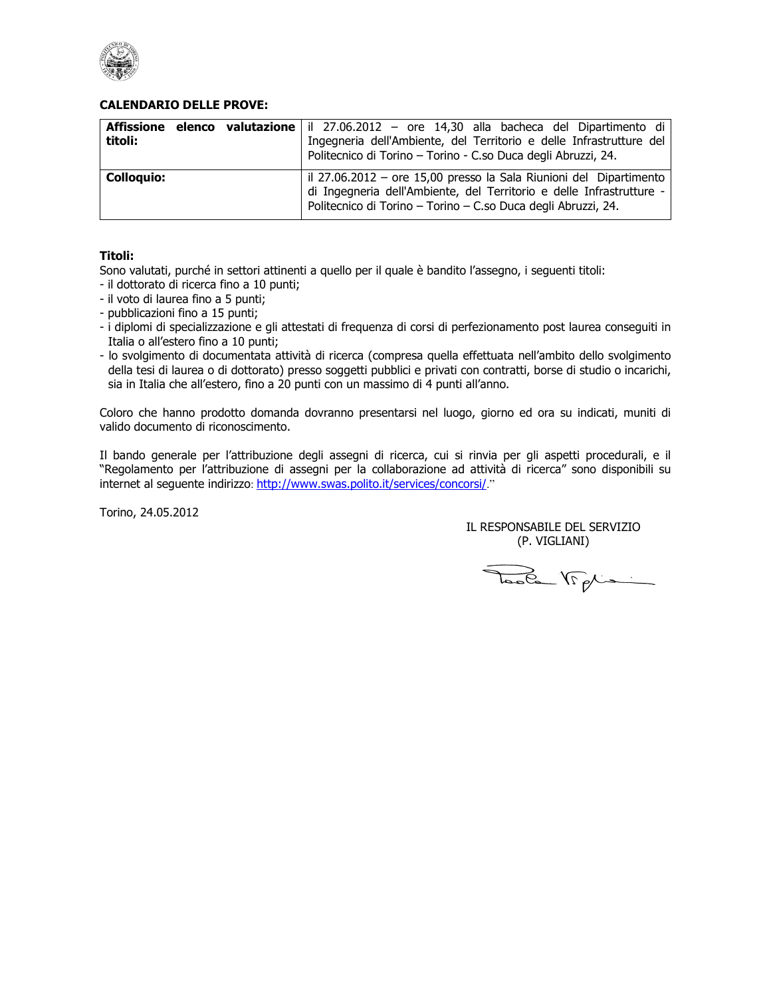

### **CALENDARIO DELLE PROVE:**

| Affissione<br>titoli: | <b>elenco</b> valutazione il 27.06.2012 – ore 14,30 alla bacheca del Dipartimento di<br>Ingegneria dell'Ambiente, del Territorio e delle Infrastrutture del<br>Politecnico di Torino - Torino - C.so Duca degli Abruzzi, 24. |
|-----------------------|------------------------------------------------------------------------------------------------------------------------------------------------------------------------------------------------------------------------------|
| <b>Colloquio:</b>     | il 27.06.2012 – ore 15,00 presso la Sala Riunioni del Dipartimento<br>di Ingegneria dell'Ambiente, del Territorio e delle Infrastrutture -<br>Politecnico di Torino - Torino - C.so Duca degli Abruzzi, 24.                  |

#### Titoli:

Sono valutati, purché in settori attinenti a quello per il quale è bandito l'assegno, i seguenti titoli:

- il dottorato di ricerca fino a 10 punti;
- il voto di laurea fino a 5 punti;
- pubblicazioni fino a 15 punti;
- i diplomi di specializzazione e gli attestati di frequenza di corsi di perfezionamento post laurea consequiti in Italia o all'estero fino a 10 punti;
- lo svolgimento di documentata attività di ricerca (compresa quella effettuata nell'ambito dello svolgimento della tesi di laurea o di dottorato) presso soggetti pubblici e privati con contratti, borse di studio o incarichi, sia in Italia che all'estero, fino a 20 punti con un massimo di 4 punti all'anno.

Coloro che hanno prodotto domanda dovranno presentarsi nel luogo, giorno ed ora su indicati, muniti di valido documento di riconoscimento.

Il bando generale per l'attribuzione degli assegni di ricerca, cui si rinvia per gli aspetti procedurali, e il "Regolamento per l'attribuzione di assegni per la collaborazione ad attività di ricerca" sono disponibili su internet al seguente indirizzo: http://www.swas.polito.it/services/concorsi/."

Torino, 24.05.2012

IL RESPONSABILE DEL SERVIZIO (P. VIGLIANI)

Toda Wight